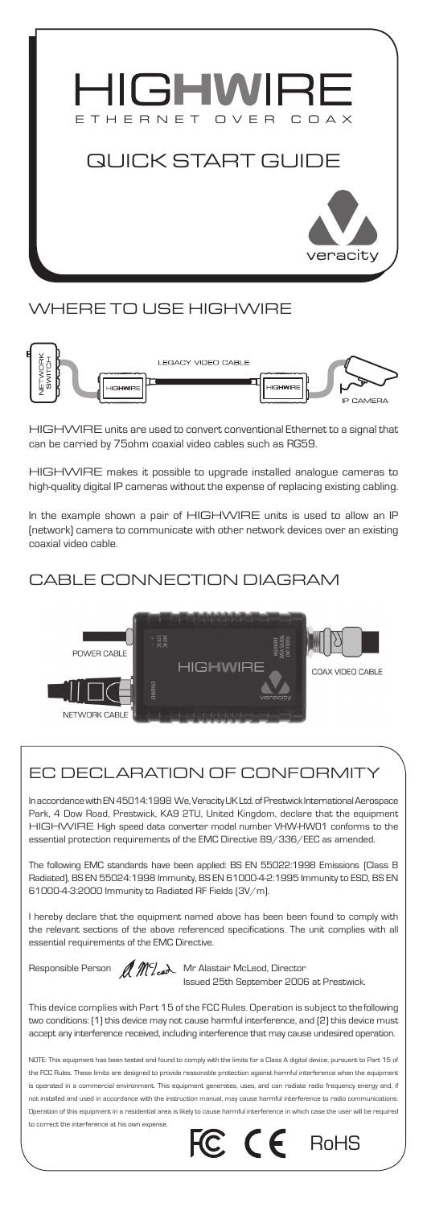

#### Where to use HIGHWIRE



HIGHWIRE units are used to convert conventional Ethernet to a signal that can be carried by 75ohm coaxial video cables such as RG59.

HIGHWIRE makes it possible to upgrade installed analogue cameras to high-quality digital IP cameras without the expense of replacing existing cabling.

In the example shown a pair of HIGHWIRE units is used to allow an IP (network) camera to communicate with other network devices over an existing coaxial video cable.

# Cable connection diagram



# EC DECLARATION OF CONFORMITY

In accordance with EN 45014:1998 We, Veracity UK Ltd. of Prestwick International Aerospace Park, 4 Dow Road, Prestwick, KA9 2TU, United Kingdom, declare that the equipment HIGHWIRE High speed data converter model number VHW-HW01 conforms to the essential protection requirements of the EMC Directive 89/336/EEC as amended.

The following EMC standards have been applied: BS EN 55022:1998 Emissions (Class B Radiated), BS EN 55024:1998 Immunity, BS EN 61000-4-2:1995 Immunity to ESD, BS EN 61000-4-3:2000 Immunity to Radiated RF Fields (3V/m).

I hereby declare that the equipment named above has been been found to comply with the relevant sections of the above referenced specifications. The unit complies with all essential requirements of the EMC Directive.



Responsible Person  $\mathcal{M}_{\ell}$  Mc Alastair McLeod, Director Issued 25th September 2006 at Prestwick.

This device complies with Part 15 of the FCC Rules. Operation is subject to the following two conditions: (1) this device may not cause harmful interference, and (2) this device must accept any interference received, including interference that may cause undesired operation.

NOTE: This equipment has been tested and found to comply with the limits for a Class A digital device, pursuant to Part 15 of the FCC Rules. These limits are designed to provide reasonable protection against harmful interference when the equipment is operated in a commercial environment. This equipment generates, uses, and can radiate radio frequency energy and, if not installed and used in accordance with the instruction manual, may cause harmful interference to radio communications. Operation of this equipment in a residential area is likely to c to correct the interference at his own expense.